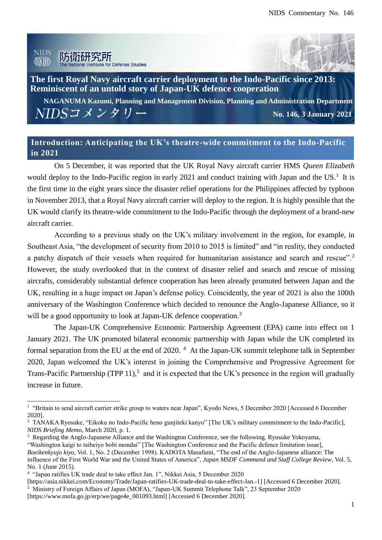



**The first Royal Navy aircraft carrier deployment to the Indo-Pacific since 2013: Reminiscent of an untold story of Japan-UK defence cooperation**

**NAGANUMA Kazumi, Planning and Management Division, Planning and Administration Department**  $NIDS$ コメンタリー **No. 146, 3 January 2021**

# **Introduction: Anticipating the UK's theatre-wide commitment to the Indo-Pacific in 2021**

On 5 December, it was reported that the UK Royal Navy aircraft carrier HMS *Queen Elizabeth* would deploy to the Indo-Pacific region in early 2021 and conduct training with Japan and the US.<sup>1</sup> It is the first time in the eight years since the disaster relief operations for the Philippines affected by typhoon in November 2013, that a Royal Navy aircraft carrier will deploy to the region. It is highly possible that the UK would clarify its theatre-wide commitment to the Indo-Pacific through the deployment of a brand-new aircraft carrier.

According to a previous study on the UK's military involvement in the region, for example, in Southeast Asia, "the development of security from 2010 to 2015 is limited" and "in reality, they conducted a patchy dispatch of their vessels when required for humanitarian assistance and search and rescue".<sup>2</sup> However, the study overlooked that in the context of disaster relief and search and rescue of missing aircrafts, considerably substantial defence cooperation has been already promoted between Japan and the UK, resulting in a huge impact on Japan's defense policy. Coincidently, the year of 2021 is also the 100th anniversary of the Washington Conference which decided to renounce the Anglo-Japanese Alliance, so it will be a good opportunity to look at Japan-UK defence cooperation.<sup>3</sup>

The Japan-UK Comprehensive Economic Partnership Agreement (EPA) came into effect on 1 January 2021. The UK promoted bilateral economic partnership with Japan while the UK completed its formal separation from the EU at the end of 2020.<sup>4</sup> At the Japan-UK summit telephone talk in September 2020, Japan welcomed the UK's interest in joining the Comprehensive and Progressive Agreement for Trans-Pacific Partnership (TPP 11),<sup>5</sup> and it is expected that the UK's presence in the region will gradually increase in future.

<sup>&</sup>lt;sup>1</sup> "Britain to send aircraft carrier strike group to waters near Japan", Kyodo News, 5 December 2020 [Accessed 6 December 2020].

<sup>&</sup>lt;sup>2</sup> TANAKA Ryosuke, "Eikoku no Indo-Pacific heno gunjiteki kanyo" [The UK's military commitment to the Indo-Pacific], *NIDS Briefing Memo*, March 2020, p. 1.

<sup>3</sup> Regarding the Anglo-Japanese Alliance and the Washington Conference, see the following. Ryusuke Yokoyama, "Washington kaigi to taiheiyo bobi mondai" [The Washington Conference and the Pacific defence limitation issue], *Boeikenkyujo kiyo,* Vol. 1, No. 2 (December 1998). KADOTA Masafumi, "The end of the Anglo-Japanese alliance: The influence of the First World War and the United States of America", *Japan MSDF Command and Staff College Review*, Vol. 5, No. 1 (June 2015).

<sup>&</sup>lt;sup>4</sup> "Japan ratifies UK trade deal to take effect Jan. 1", Nikkei Asia, 5 December 2020

<sup>[</sup>https://asia.nikkei.com/Economy/Trade/Japan-ratifies-UK-trade-deal-to-take-effect-Jan.-1] [Accessed 6 December 2020].

<sup>&</sup>lt;sup>5</sup> Ministry of Foreign Affairs of Japan (MOFA), "Japan-UK Summit Telephone Talk", 23 September 2020 [https://www.mofa.go.jp/erp/we/page4e\_001093.html] [Accessed 6 December 2020].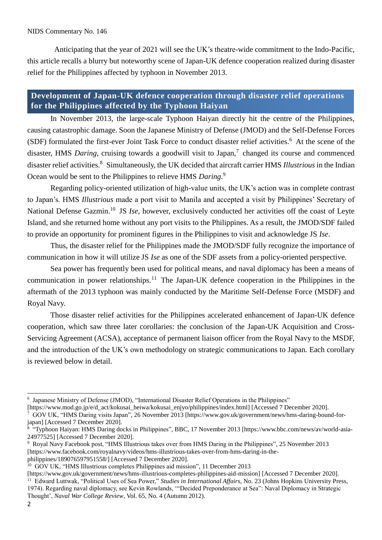#### NIDS Commentary No. 146

Anticipating that the year of 2021 will see the UK's theatre-wide commitment to the Indo-Pacific, this article recalls a blurry but noteworthy scene of Japan-UK defence cooperation realized during disaster relief for the Philippines affected by typhoon in November 2013.

## **Development of Japan-UK defence cooperation through disaster relief operations for the Philippines affected by the Typhoon Haiyan**

In November 2013, the large-scale Typhoon Haiyan directly hit the centre of the Philippines, causing catastrophic damage. Soon the Japanese Ministry of Defense (JMOD) and the Self-Defense Forces (SDF) formulated the first-ever Joint Task Force to conduct disaster relief activities.<sup>6</sup> At the scene of the disaster, HMS *Daring*, cruising towards a goodwill visit to Japan,<sup>7</sup> changed its course and commenced disaster relief activities.<sup>8</sup> Simultaneously, the UK decided that aircraft carrier HMS *Illustrious* in the Indian Ocean would be sent to the Philippines to relieve HMS *Daring*. 9

Regarding policy-oriented utilization of high-value units, the UK's action was in complete contrast to Japan's. HMS *Illustrious* made a port visit to Manila and accepted a visit by Philippines' Secretary of National Defense Gazmin.<sup>10</sup> JS *Ise*, however, exclusively conducted her activities off the coast of Leyte Island, and she returned home without any port visits to the Philippines. As a result, the JMOD/SDF failed to provide an opportunity for prominent figures in the Philippines to visit and acknowledge JS *Ise*.

Thus, the disaster relief for the Philippines made the JMOD/SDF fully recognize the importance of communication in how it will utilize JS *Ise* as one of the SDF assets from a policy-oriented perspective.

Sea power has frequently been used for political means, and naval diplomacy has been a means of communication in power relationships.<sup>11</sup> The Japan-UK defence cooperation in the Philippines in the aftermath of the 2013 typhoon was mainly conducted by the Maritime Self-Defense Force (MSDF) and Royal Navy.

Those disaster relief activities for the Philippines accelerated enhancement of Japan-UK defence cooperation, which saw three later corollaries: the conclusion of the Japan-UK Acquisition and Cross-Servicing Agreement (ACSA), acceptance of permanent liaison officer from the Royal Navy to the MSDF, and the introduction of the UK's own methodology on strategic communications to Japan. Each corollary is reviewed below in detail.

<sup>6</sup> Japanese Ministry of Defense (JMOD), "International Disaster Relief Operations in the Philippines"

<sup>[</sup>https://www.mod.go.jp/e/d\_act/kokusai\_heiwa/kokusai\_enjyo/philippines/index.html] [Accessed 7 December 2020].

<sup>7</sup> GOV UK, "HMS Daring visits Japan", 26 November 2013 [https://www.gov.uk/government/news/hms-daring-bound-forjapan] [Accessed 7 December 2020].

<sup>8</sup> "Typhoon Haiyan: HMS Daring docks in Philippines", BBC, 17 November 2013 [https://www.bbc.com/news/av/world-asia-24977525] [Accessed 7 December 2020].

<sup>9</sup> Royal Navy Facebook post, "HMS Illustrious takes over from HMS Daring in the Philippines", 25 November 2013 [https://www.facebook.com/royalnavy/videos/hms-illustrious-takes-over-from-hms-daring-in-thephilippines/189076597951558/] [Accessed 7 December 2020].

<sup>&</sup>lt;sup>10</sup> GOV UK, "HMS Illustrious completes Philippines aid mission", 11 December 2013

<sup>[</sup>https://www.gov.uk/government/news/hms-illustrious-completes-philippines-aid-mission] [Accessed 7 December 2020]. <sup>11</sup> Edward Luttwak, "Political Uses of Sea Power," *Studies in International Affairs*, No. 23 (Johns Hopkins University Press, 1974). Regarding naval diplomacy, see Kevin Rowlands, '"Decided Preponderance at Sea": Naval Diplomacy in Strategic Thought', *Naval War College Review*, Vol. 65, No. 4 (Autumn 2012).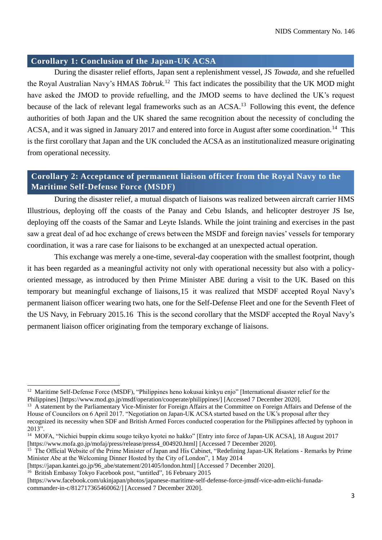### **Corollary 1: Conclusion of the Japan-UK ACSA**

During the disaster relief efforts, Japan sent a replenishment vessel, JS *Towada*, and she refuelled the Royal Australian Navy's HMAS *Tobruk*. <sup>12</sup> This fact indicates the possibility that the UK MOD might have asked the JMOD to provide refuelling, and the JMOD seems to have declined the UK's request because of the lack of relevant legal frameworks such as an ACSA.<sup>13</sup> Following this event, the defence authorities of both Japan and the UK shared the same recognition about the necessity of concluding the ACSA, and it was signed in January 2017 and entered into force in August after some coordination.<sup>14</sup> This is the first corollary that Japan and the UK concluded the ACSA as an institutionalized measure originating from operational necessity.

## **Corollary 2: Acceptance of permanent liaison officer from the Royal Navy to the Maritime Self-Defense Force (MSDF)**

During the disaster relief, a mutual dispatch of liaisons was realized between aircraft carrier HMS Illustrious, deploying off the coasts of the Panay and Cebu Islands, and helicopter destroyer JS Ise, deploying off the coasts of the Samar and Leyte Islands. While the joint training and exercises in the past saw a great deal of ad hoc exchange of crews between the MSDF and foreign navies' vessels for temporary coordination, it was a rare case for liaisons to be exchanged at an unexpected actual operation.

This exchange was merely a one-time, several-day cooperation with the smallest footprint, though it has been regarded as a meaningful activity not only with operational necessity but also with a policyoriented message, as introduced by then Prime Minister ABE during a visit to the UK. Based on this temporary but meaningful exchange of liaisons,15 it was realized that MSDF accepted Royal Navy's permanent liaison officer wearing two hats, one for the Self-Defense Fleet and one for the Seventh Fleet of the US Navy, in February 2015.16 This is the second corollary that the MSDF accepted the Royal Navy's permanent liaison officer originating from the temporary exchange of liaisons.

[https://japan.kantei.go.jp/96\_abe/statement/201405/london.html] [Accessed 7 December 2020].

<sup>16</sup> British Embassy Tokyo Facebook post, "untitled", 16 February 2015

<sup>&</sup>lt;sup>12</sup> Maritime Self-Defense Force (MSDF), "Philippines heno kokusai kinkyu enjo" [International disaster relief for the Philippines] [https://www.mod.go.jp/msdf/operation/cooperate/philippines/] [Accessed 7 December 2020].

<sup>&</sup>lt;sup>13</sup> A statement by the Parliamentary Vice-Minister for Foreign Affairs at the Committee on Foreign Affairs and Defense of the House of Councilors on 6 April 2017. "Negotiation on Japan-UK ACSA started based on the UK's proposal after they recognized its necessity when SDF and British Armed Forces conducted cooperation for the Philippines affected by typhoon in 2013".

<sup>&</sup>lt;sup>14</sup> MOFA, "Nichiei buppin ekimu sougo teikyo kyotei no hakko" [Entry into force of Japan-UK ACSA], 18 August 2017 [https://www.mofa.go.jp/mofaj/press/release/press4\_004920.html] [Accessed 7 December 2020].

<sup>&</sup>lt;sup>15</sup> The Official Website of the Prime Minister of Japan and His Cabinet, "Redefining Japan-UK Relations - Remarks by Prime Minister Abe at the Welcoming Dinner Hosted by the City of London", 1 May 2014

<sup>[</sup>https://www.facebook.com/ukinjapan/photos/japanese-maritime-self-defense-force-jmsdf-vice-adm-eiichi-funadacommander-in-c/812717365460062/] [Accessed 7 December 2020].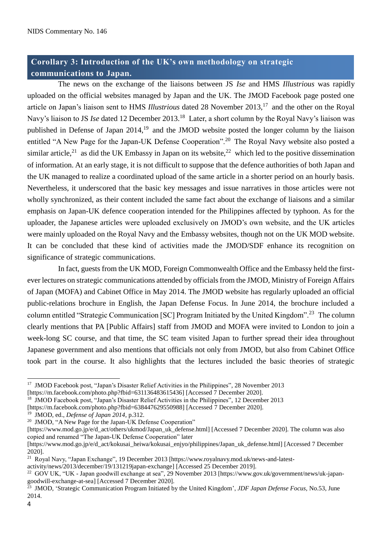# **Corollary 3: Introduction of the UK's own methodology on strategic communications to Japan.**

The news on the exchange of the liaisons between JS *Ise* and HMS *Illustrious* was rapidly uploaded on the official websites managed by Japan and the UK. The JMOD Facebook page posted one article on Japan's liaison sent to HMS *Illustrious* dated 28 November 2013,<sup>17</sup> and the other on the Royal Navy's liaison to JS *Ise* dated 12 December 2013.<sup>18</sup> Later, a short column by the Royal Navy's liaison was published in Defense of Japan 2014,<sup>19</sup> and the JMOD website posted the longer column by the liaison entitled "A New Page for the Japan-UK Defense Cooperation".<sup>20</sup> The Royal Navy website also posted a similar article,<sup>21</sup> as did the UK Embassy in Japan on its website,<sup>22</sup> which led to the positive dissemination of information. At an early stage, it is not difficult to suppose that the defence authorities of both Japan and the UK managed to realize a coordinated upload of the same article in a shorter period on an hourly basis. Nevertheless, it underscored that the basic key messages and issue narratives in those articles were not wholly synchronized, as their content included the same fact about the exchange of liaisons and a similar emphasis on Japan-UK defence cooperation intended for the Philippines affected by typhoon. As for the uploader, the Japanese articles were uploaded exclusively on JMOD's own website, and the UK articles were mainly uploaded on the Royal Navy and the Embassy websites, though not on the UK MOD website. It can be concluded that these kind of activities made the JMOD/SDF enhance its recognition on significance of strategic communications.

In fact, guests from the UK MOD, Foreign Commonwealth Office and the Embassy held the firstever lectures on strategic communications attended by officials from the JMOD, Ministry of Foreign Affairs of Japan (MOFA) and Cabinet Office in May 2014. The JMOD website has regularly uploaded an official public-relations brochure in English, the Japan Defense Focus. In June 2014, the brochure included a column entitled "Strategic Communication [SC] Program Initiated by the United Kingdom".<sup>23</sup> The column clearly mentions that PA [Public Affairs] staff from JMOD and MOFA were invited to London to join a week-long SC course, and that time, the SC team visited Japan to further spread their idea throughout Japanese government and also mentions that officials not only from JMOD, but also from Cabinet Office took part in the course. It also highlights that the lectures included the basic theories of strategic

<sup>18</sup> JMOD Facebook post, "Japan's Disaster Relief Activities in the Philippines", 12 December 2013

[https://m.facebook.com/photo.php?fbid=638447629550988] [Accessed 7 December 2020].

<sup>19</sup> JMOD, ed., *Defense of Japan 2014*, p.312.

activity/news/2013/december/19/131219japan-exchange] [Accessed 25 December 2019].

<sup>&</sup>lt;sup>17</sup> JMOD Facebook post, "Japan's Disaster Relief Activities in the Philippines", 28 November 2013 [https://m.facebook.com/photo.php?fbid=631136483615436] [Accessed 7 December 2020].

<sup>&</sup>lt;sup>20</sup> JMOD, "A New Page for the Japan-UK Defense Cooperation"

<sup>[</sup>https://www.mod.go.jp/e/d\_act/others/ukmod/Japan\_uk\_defense.html] [Accessed 7 December 2020]. The column was also copied and renamed "The Japan-UK Defense Cooperation" later

<sup>[</sup>https://www.mod.go.jp/e/d\_act/kokusai\_heiwa/kokusai\_enjyo/philippines/Japan\_uk\_defense.html] [Accessed 7 December 2020].

<sup>&</sup>lt;sup>21</sup> Royal Navy, "Japan Exchange", 19 December 2013 [https://www.royalnavy.mod.uk/news-and-latest-

<sup>&</sup>lt;sup>22</sup> GOV UK, "UK - Japan goodwill exchange at sea", 29 November 2013 [https://www.gov.uk/government/news/uk-japangoodwill-exchange-at-sea] [Accessed 7 December 2020].

<sup>23</sup> JMOD, 'Strategic Communication Program Initiated by the United Kingdom', *JDF Japan Defense Focus,* No.53, June 2014.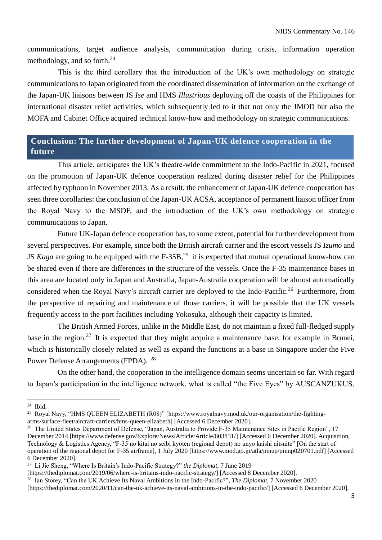communications, target audience analysis, communication during crisis, information operation methodology, and so forth.<sup>24</sup>

This is the third corollary that the introduction of the UK's own methodology on strategic communications to Japan originated from the coordinated dissemination of information on the exchange of the Japan-UK liaisons between JS *Ise* and HMS *Illustrious* deploying off the coasts of the Philippines for international disaster relief activities, which subsequently led to it that not only the JMOD but also the MOFA and Cabinet Office acquired technical know-how and methodology on strategic communications.

## **Conclusion: The further development of Japan-UK defence cooperation in the future**

This article, anticipates the UK's theatre-wide commitment to the Indo-Pacific in 2021, focused on the promotion of Japan-UK defence cooperation realized during disaster relief for the Philippines affected by typhoon in November 2013. As a result, the enhancement of Japan-UK defence cooperation has seen three corollaries: the conclusion of the Japan-UK ACSA, acceptance of permanent liaison officer from the Royal Navy to the MSDF, and the introduction of the UK's own methodology on strategic communications to Japan.

Future UK-Japan defence cooperation has, to some extent, potential for further development from several perspectives. For example, since both the British aircraft carrier and the escort vessels JS *Izumo* and JS *Kaga* are going to be equipped with the F-35B,<sup>25</sup> it is expected that mutual operational know-how can be shared even if there are differences in the structure of the vessels. Once the F-35 maintenance bases in this area are located only in Japan and Australia, Japan-Australia cooperation will be almost automatically considered when the Royal Navy's aircraft carrier are deployed to the Indo-Pacific.<sup>26</sup> Furthermore, from the perspective of repairing and maintenance of those carriers, it will be possible that the UK vessels frequently access to the port facilities including Yokosuka, although their capacity is limited.

The British Armed Forces, unlike in the Middle East, do not maintain a fixed full-fledged supply base in the region.<sup>27</sup> It is expected that they might acquire a maintenance base, for example in Brunei, which is historically closely related as well as expand the functions at a base in Singapore under the Five Power Defense Arrangements (FPDA). <sup>28</sup>

On the other hand, the cooperation in the intelligence domain seems uncertain so far. With regard to Japan's participation in the intelligence network, what is called "the Five Eyes" by AUSCANZUKUS,

<sup>24</sup> Ibid.

<sup>25</sup> Royal Navy, "HMS QUEEN ELIZABETH (R08)" [https://www.royalnavy.mod.uk/our-organisation/the-fightingarms/surface-fleet/aircraft-carriers/hms-queen-elizabeth] [Accessed 6 December 2020].

<sup>&</sup>lt;sup>26</sup> The United States Department of Defense, "Japan, Australia to Provide F-35 Maintenance Sites in Pacific Region", 17 December 2014 [https://www.defense.gov/Explore/News/Article/Article/603831/] [Accessed 6 December 2020]. Acquisition, Technology & Logistics Agency, "F-35 no kitai no seibi kyoten (regional depot) no unyo kaishi nitsuite" [On the start of operation of the regional depot for F-35 airframe], 1 July 2020 [https://www.mod.go.jp/atla/pinup/pinup020701.pdf] [Accessed 6 December 2020].

<sup>27</sup> Li Jie Sheng, "Where Is Britain's Indo-Pacific Strategy?" *the Diplomat,* 7 June 2019

<sup>[</sup>https://thediplomat.com/2019/06/where-is-britains-indo-pacific-strategy/] [Accessed 8 December 2020].

<sup>28</sup> Ian Storey, "Can the UK Achieve Its Naval Ambitions in the Indo-Pacific?", *The Diplomat,* 7 November 2020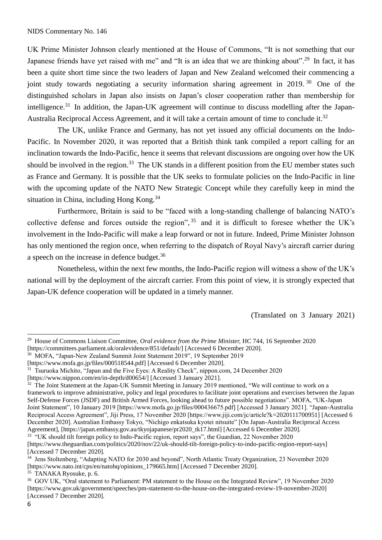UK Prime Minister Johnson clearly mentioned at the House of Commons, "It is not something that our Japanese friends have yet raised with me" and "It is an idea that we are thinking about".<sup>29</sup> In fact, it has been a quite short time since the two leaders of Japan and New Zealand welcomed their commencing a joint study towards negotiating a security information sharing agreement in 2019.<sup>30</sup> One of the distinguished scholars in Japan also insists on Japan's closer cooperation rather than membership for intelligence.<sup>31</sup> In addition, the Japan-UK agreement will continue to discuss modelling after the Japan-Australia Reciprocal Access Agreement, and it will take a certain amount of time to conclude it.<sup>32</sup>

The UK, unlike France and Germany, has not yet issued any official documents on the Indo-Pacific. In November 2020, it was reported that a British think tank compiled a report calling for an inclination towards the Indo-Pacific, hence it seems that relevant discussions are ongoing over how the UK should be involved in the region.<sup>33</sup> The UK stands in a different position from the EU member states such as France and Germany. It is possible that the UK seeks to formulate policies on the Indo-Pacific in line with the upcoming update of the NATO New Strategic Concept while they carefully keep in mind the situation in China, including Hong Kong.<sup>34</sup>

Furthermore, Britain is said to be "faced with a long-standing challenge of balancing NATO's collective defense and forces outside the region", <sup>35</sup> and it is difficult to foresee whether the UK's involvement in the Indo-Pacific will make a leap forward or not in future. Indeed, Prime Minister Johnson has only mentioned the region once, when referring to the dispatch of Royal Navy's aircraft carrier during a speech on the increase in defence budget.<sup>36</sup>

Nonetheless, within the next few months, the Indo-Pacific region will witness a show of the UK's national will by the deployment of the aircraft carrier. From this point of view, it is strongly expected that Japan-UK defence cooperation will be updated in a timely manner.

(Translated on 3 January 2021)

<sup>30</sup> MOFA, "Japan-New Zealand Summit Joint Statement 2019", 19 September 2019

<sup>31</sup> Tsuruoka Michito, "Japan and the Five Eyes: A Reality Check", nippon.com, 24 December 2020 [https://www.nippon.com/en/in-depth/d00654/] [Accessed 3 January 2021].

<sup>29</sup> House of Commons Liaison Committee, *Oral evidence from the Prime Minister,* HC 744, 16 September 2020 [https://committees.parliament.uk/oralevidence/851/default/] [Accessed 6 December 2020].

<sup>[</sup>https://www.mofa.go.jp/files/000518544.pdf] [Accessed 6 December 2020].

<sup>&</sup>lt;sup>32</sup> The Joint Statement at the Japan-UK Summit Meeting in January 2019 mentioned, "We will continue to work on a framework to improve administrative, policy and legal procedures to facilitate joint operations and exercises between the Japan Self-Defense Forces (JSDF) and British Armed Forces, looking ahead to future possible negotiations". MOFA, "UK-Japan Joint Statement", 10 January 2019 [https://www.mofa.go.jp/files/000436675.pdf] [Accessed 3 January 2021]. "Japan-Australia Reciprocal Access Agreement", Jiji Press, 17 November 2020 [https://www.jiji.com/jc/article?k=2020111700951] [Accessed 6 December 2020]. Australian Embassy Tokyo, "Nichigo enkatsuka kyotei nitsuite" [On Japan-Australia Reciprocal Access Agreement], [https://japan.embassy.gov.au/tkyojapanese/pr2020\_tk17.html] [Accessed 6 December 2020].

<sup>&</sup>lt;sup>33</sup> "UK should tilt foreign policy to Indo-Pacific region, report says", the Guardian, 22 November 2020 [https://www.theguardian.com/politics/2020/nov/22/uk-should-tilt-foreign-policy-to-indo-pacific-region-report-says] [Accessed 7 December 2020].

<sup>&</sup>lt;sup>34</sup> Jens Stoltenberg, "Adapting NATO for 2030 and beyond", North Atlantic Treaty Organization, 23 November 2020 [https://www.nato.int/cps/en/natohq/opinions\_179665.htm] [Accessed 7 December 2020].

 $35$  TANAKA Ryosuke, p. 6.

<sup>36</sup> GOV UK, "Oral statement to Parliament: PM statement to the House on the Integrated Review", 19 November 2020 [https://www.gov.uk/government/speeches/pm-statement-to-the-house-on-the-integrated-review-19-november-2020] [Accessed 7 December 2020].